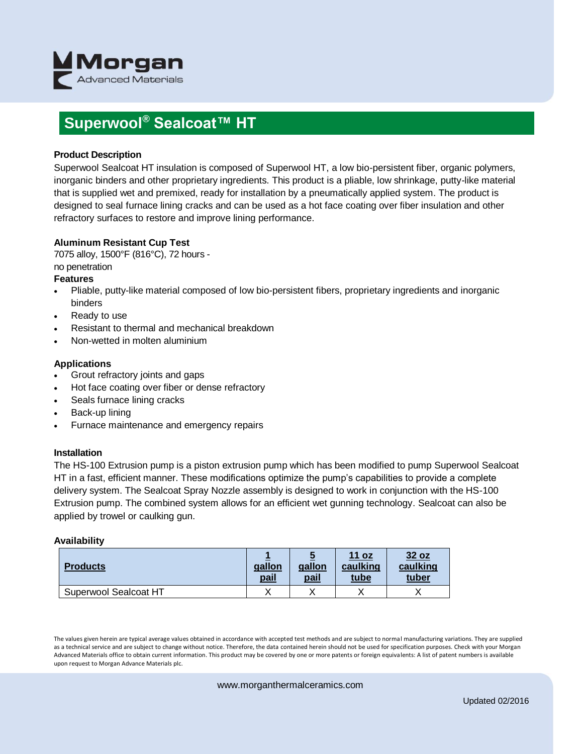

### **Superwool® Sealcoat™ HT**

#### **Product Description**

Superwool Sealcoat HT insulation is composed of Superwool HT, a low bio-persistent fiber, organic polymers, inorganic binders and other proprietary ingredients. This product is a pliable, low shrinkage, putty-like material that is supplied wet and premixed, ready for installation by a pneumatically applied system. The product is designed to seal furnace lining cracks and can be used as a hot face coating over fiber insulation and other refractory surfaces to restore and improve lining performance.

#### **Aluminum Resistant Cup Test**

7075 alloy, 1500°F (816°C), 72 hours -

### no penetration

#### **Features**

- Pliable, putty-like material composed of low bio-persistent fibers, proprietary ingredients and inorganic binders
- Ready to use
- Resistant to thermal and mechanical breakdown
- Non-wetted in molten aluminium

#### **Applications**

- Grout refractory joints and gaps
- Hot face coating over fiber or dense refractory
- Seals furnace lining cracks
- Back-up lining
- Furnace maintenance and emergency repairs

#### **Installation**

The HS-100 Extrusion pump is a piston extrusion pump which has been modified to pump Superwool Sealcoat HT in a fast, efficient manner. These modifications optimize the pump's capabilities to provide a complete delivery system. The Sealcoat Spray Nozzle assembly is designed to work in conjunction with the HS-100 Extrusion pump. The combined system allows for an efficient wet gunning technology. Sealcoat can also be applied by trowel or caulking gun.

#### **Availability**

| <b>Products</b>       | gallon<br>pail | gallon<br>pail | 11 oz<br>caulking<br>tube | 32 oz<br>caulking<br>tuber |
|-----------------------|----------------|----------------|---------------------------|----------------------------|
| Superwool Sealcoat HT |                |                |                           |                            |

The values given herein are typical average values obtained in accordance with accepted test methods and are subject to normal manufacturing variations. They are supplied as a technical service and are subject to change without notice. Therefore, the data contained herein should not be used for specification purposes. Check with your Morgan Advanced Materials office to obtain current information. This product may be covered by one or more patents or foreign equivalents: A list of patent numbers is available upon request to Morgan Advance Materials plc.

www.morganthermalceramics.com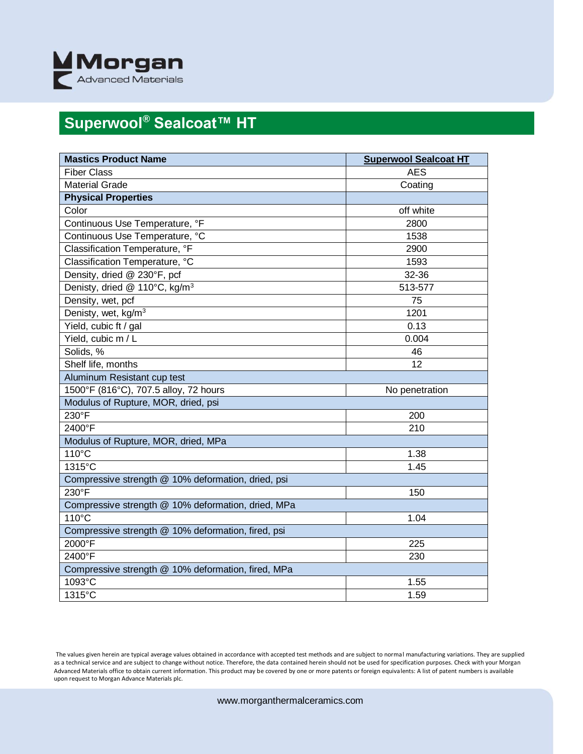

# **Superwool® Sealcoat™ HT**

| <b>Mastics Product Name</b>                        | <b>Superwool Sealcoat HT</b> |  |  |
|----------------------------------------------------|------------------------------|--|--|
| Fiber Class                                        | <b>AES</b>                   |  |  |
| <b>Material Grade</b>                              | Coating                      |  |  |
| <b>Physical Properties</b>                         |                              |  |  |
| Color                                              | off white                    |  |  |
| Continuous Use Temperature, °F                     | 2800                         |  |  |
| Continuous Use Temperature, °C                     | 1538                         |  |  |
| Classification Temperature, °F                     | 2900                         |  |  |
| Classification Temperature, °C                     | 1593                         |  |  |
| Density, dried @ 230°F, pcf                        | 32-36                        |  |  |
| Denisty, dried @ 110°C, kg/m <sup>3</sup>          | 513-577                      |  |  |
| Density, wet, pcf                                  | 75                           |  |  |
| Denisty, wet, kg/m <sup>3</sup>                    | 1201                         |  |  |
| Yield, cubic ft / gal                              | 0.13                         |  |  |
| Yield, cubic m / L                                 | 0.004                        |  |  |
| Solids, %                                          | 46                           |  |  |
| Shelf life, months                                 | 12                           |  |  |
| Aluminum Resistant cup test                        |                              |  |  |
| 1500°F (816°C), 707.5 alloy, 72 hours              | No penetration               |  |  |
| Modulus of Rupture, MOR, dried, psi                |                              |  |  |
| 230°F                                              | 200                          |  |  |
| 2400°F                                             | 210                          |  |  |
| Modulus of Rupture, MOR, dried, MPa                |                              |  |  |
| 110°C                                              | 1.38                         |  |  |
| 1315°C                                             | 1.45                         |  |  |
| Compressive strength @ 10% deformation, dried, psi |                              |  |  |
| $230^{\circ}$ F                                    | 150                          |  |  |
| Compressive strength @ 10% deformation, dried, MPa |                              |  |  |
| 110°C                                              | 1.04                         |  |  |
| Compressive strength @ 10% deformation, fired, psi |                              |  |  |
| 2000°F                                             | 225                          |  |  |
| 2400°F                                             | 230                          |  |  |
| Compressive strength @ 10% deformation, fired, MPa |                              |  |  |
| 1093°C                                             | 1.55                         |  |  |
| $1315^{\circ}$ C                                   | 1.59                         |  |  |

The values given herein are typical average values obtained in accordance with accepted test methods and are subject to normal manufacturing variations. They are supplied as a technical service and are subject to change without notice. Therefore, the data contained herein should not be used for specification purposes. Check with your Morgan Advanced Materials office to obtain current information. This product may be covered by one or more patents or foreign equivalents: A list of patent numbers is available upon request to Morgan Advance Materials plc.